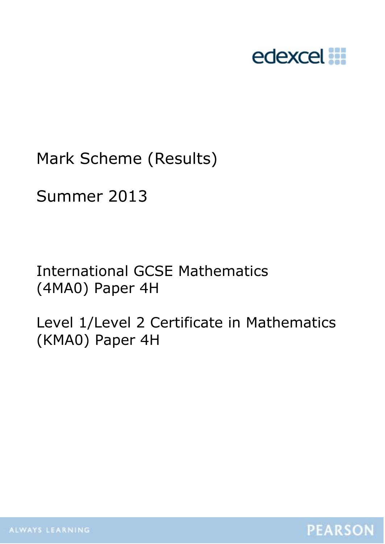

# Mark Scheme (Results)

# Summer 2013

International GCSE Mathematics (4MA0) Paper 4H

Level 1/Level 2 Certificate in Mathematics (KMA0) Paper 4H

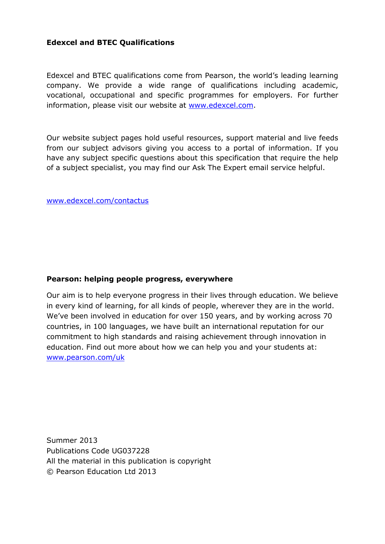## **Edexcel and BTEC Qualifications**

Edexcel and BTEC qualifications come from Pearson, the world's leading learning company. We provide a wide range of qualifications including academic, vocational, occupational and specific programmes for employers. For further information, please visit our website at [www.edexcel.com.](http://www.edexcel.com/)

Our website subject pages hold useful resources, support material and live feeds from our subject advisors giving you access to a portal of information. If you have any subject specific questions about this specification that require the help of a subject specialist, you may find our Ask The Expert email service helpful.

[www.edexcel.com/contactus](http://www.edexcel.com/contactus)

#### **Pearson: helping people progress, everywhere**

Our aim is to help everyone progress in their lives through education. We believe in every kind of learning, for all kinds of people, wherever they are in the world. We've been involved in education for over 150 years, and by working across 70 countries, in 100 languages, we have built an international reputation for our commitment to high standards and raising achievement through innovation in education. Find out more about how we can help you and your students at: [www.pearson.com/uk](http://www.pearson.com/uk)

Summer 2013 Publications Code UG037228 All the material in this publication is copyright © Pearson Education Ltd 2013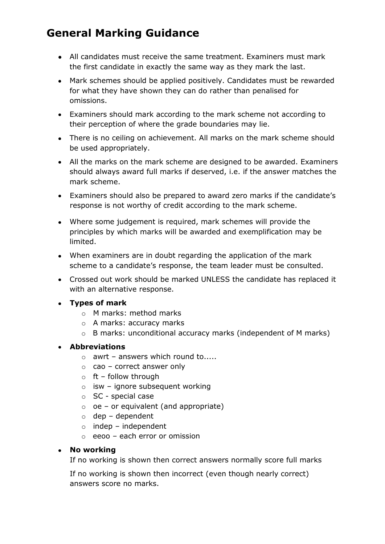# **General Marking Guidance**

- All candidates must receive the same treatment. Examiners must mark the first candidate in exactly the same way as they mark the last.
- Mark schemes should be applied positively. Candidates must be rewarded for what they have shown they can do rather than penalised for omissions.
- Examiners should mark according to the mark scheme not according to their perception of where the grade boundaries may lie.
- There is no ceiling on achievement. All marks on the mark scheme should be used appropriately.
- All the marks on the mark scheme are designed to be awarded. Examiners should always award full marks if deserved, i.e. if the answer matches the mark scheme.
- Examiners should also be prepared to award zero marks if the candidate's response is not worthy of credit according to the mark scheme.
- Where some judgement is required, mark schemes will provide the principles by which marks will be awarded and exemplification may be limited.
- When examiners are in doubt regarding the application of the mark scheme to a candidate's response, the team leader must be consulted.
- Crossed out work should be marked UNLESS the candidate has replaced it with an alternative response.
- **Types of mark**
	- o M marks: method marks
	- o A marks: accuracy marks
	- o B marks: unconditional accuracy marks (independent of M marks)

#### **Abbreviations**

- $\circ$  awrt answers which round to.....
- $\circ$  cao correct answer only
- $\circ$  ft follow through
- $\circ$  isw ignore subsequent working
- o SC special case
- $\circ$  oe or equivalent (and appropriate)
- $\circ$  dep dependent
- $\circ$  indep independent
- $\circ$  eeoo each error or omission

#### **No working**

If no working is shown then correct answers normally score full marks

If no working is shown then incorrect (even though nearly correct) answers score no marks.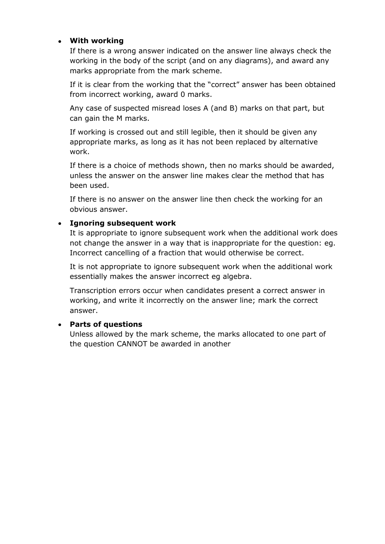## **With working**

If there is a wrong answer indicated on the answer line always check the working in the body of the script (and on any diagrams), and award any marks appropriate from the mark scheme.

If it is clear from the working that the "correct" answer has been obtained from incorrect working, award 0 marks.

Any case of suspected misread loses A (and B) marks on that part, but can gain the M marks.

If working is crossed out and still legible, then it should be given any appropriate marks, as long as it has not been replaced by alternative work.

If there is a choice of methods shown, then no marks should be awarded, unless the answer on the answer line makes clear the method that has been used.

If there is no answer on the answer line then check the working for an obvious answer.

## **Ignoring subsequent work**

It is appropriate to ignore subsequent work when the additional work does not change the answer in a way that is inappropriate for the question: eg. Incorrect cancelling of a fraction that would otherwise be correct.

It is not appropriate to ignore subsequent work when the additional work essentially makes the answer incorrect eg algebra.

Transcription errors occur when candidates present a correct answer in working, and write it incorrectly on the answer line; mark the correct answer.

#### **Parts of questions**

Unless allowed by the mark scheme, the marks allocated to one part of the question CANNOT be awarded in another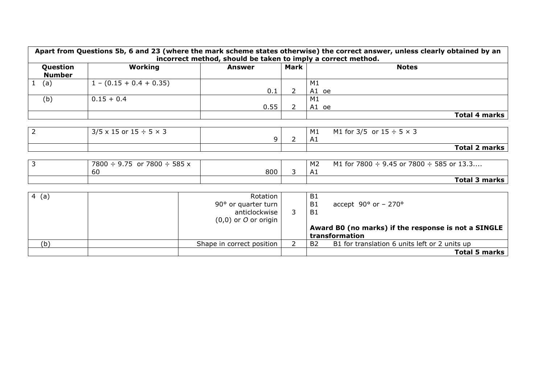| Apart from Questions 5b, 6 and 23 (where the mark scheme states otherwise) the correct answer, unless clearly obtained by an<br>incorrect method, should be taken to imply a correct method. |                           |        |      |             |               |
|----------------------------------------------------------------------------------------------------------------------------------------------------------------------------------------------|---------------------------|--------|------|-------------|---------------|
| Question<br><b>Number</b>                                                                                                                                                                    | Working                   | Answer | Mark |             | <b>Notes</b>  |
| (a)                                                                                                                                                                                          | $1 - (0.15 + 0.4 + 0.35)$ | 0.1    |      | M1<br>A1 oe |               |
| (b)                                                                                                                                                                                          | $0.15 + 0.4$              | 0.55   |      | M1<br>A1 oe |               |
|                                                                                                                                                                                              |                           |        |      |             | Total 4 marks |

|                                         |  | A1 |                                    | <b>Total 2 marks</b> |
|-----------------------------------------|--|----|------------------------------------|----------------------|
| $3/5 \times 15$ or $15 \div 5 \times 3$ |  | M1 | M1 for 3/5 or $15 \div 5 \times 3$ |                      |

| $7800 \div 9.75$<br>or 7800 ÷<br>585 x |     | M <sub>2</sub> | M1 for 7800 $\div$ 9.45 or 7800 $\div$ 585 or 13.3 |
|----------------------------------------|-----|----------------|----------------------------------------------------|
| 60                                     | 800 | л.<br>∴A⊥      |                                                    |
|                                        |     |                | <b>Total 3 marks</b>                               |

| 4(a) | Rotation<br>90 $\degree$ or quarter turn  <br>anticlockwise<br>$(0,0)$ or O or origin | B1<br>accept $90^{\circ}$ or - 270°<br>B1<br><b>B1</b><br>Award B0 (no marks) if the response is not a SINGLE<br>transformation |
|------|---------------------------------------------------------------------------------------|---------------------------------------------------------------------------------------------------------------------------------|
| (b)  | Shape in correct position                                                             | B1 for translation 6 units left or 2 units up<br><b>B2</b>                                                                      |
|      |                                                                                       | <b>Total 5 marks</b>                                                                                                            |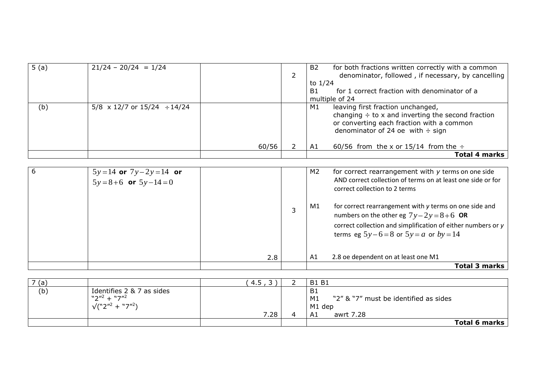| 5(a) | $21/24 - 20/24 = 1/24$                            |       |                | <b>B2</b> | for both fractions written correctly with a common           |
|------|---------------------------------------------------|-------|----------------|-----------|--------------------------------------------------------------|
|      |                                                   |       | $\overline{2}$ |           | denominator, followed, if necessary, by cancelling           |
|      |                                                   |       |                | to $1/24$ |                                                              |
|      |                                                   |       |                | <b>B1</b> | for 1 correct fraction with denominator of a                 |
|      |                                                   |       |                |           | multiple of 24                                               |
| (b)  | $5/8 \times 12/7$ or $15/24 \div 14/24$           |       |                | M1        | leaving first fraction unchanged,                            |
|      |                                                   |       |                |           | changing $\div$ to x and inverting the second fraction       |
|      |                                                   |       |                |           | or converting each fraction with a common                    |
|      |                                                   |       |                |           | denominator of 24 oe with $\div$ sign                        |
|      |                                                   |       |                |           |                                                              |
|      |                                                   | 60/56 | 2              | A1        | 60/56 from the x or 15/14 from the $\div$                    |
|      |                                                   |       |                |           | <b>Total 4 marks</b>                                         |
|      |                                                   |       |                |           |                                                              |
| 6    |                                                   |       |                | M2        | for correct rearrangement with y terms on one side           |
|      | $5y=14$ or $7y-2y=14$ or<br>$5y=8+6$ or $5y-14=0$ |       |                |           | AND correct collection of terms on at least one side or for  |
|      |                                                   |       |                |           | correct collection to 2 terms                                |
|      |                                                   |       |                |           |                                                              |
|      |                                                   |       |                |           |                                                              |
|      |                                                   |       | 3              | M1        | for correct rearrangement with y terms on one side and       |
|      |                                                   |       |                |           | numbers on the other eg $7y-2y=8+6$ OR                       |
|      |                                                   |       |                |           | correct collection and simplification of either numbers or y |
|      |                                                   |       |                |           | terms eg $5y-6=8$ or $5y=a$ or $by=14$                       |
|      |                                                   |       |                |           |                                                              |
|      |                                                   |       |                |           |                                                              |
|      |                                                   | 2.8   |                | A1        | 2.8 oe dependent on at least one M1                          |
|      |                                                   |       |                |           | Total 3 marks                                                |

| 7(a) |                            | 4.5  | <b>B1 B1</b>                                |
|------|----------------------------|------|---------------------------------------------|
| (b)  | Identifies 2 & 7 as sides  |      | <b>B1</b>                                   |
|      | $W$ 2"2 $+ W$ 7"2          |      | "2" & "7" must be identified as sides<br>M1 |
|      | $\sqrt{(n2''^2 + n7''^2)}$ |      | M1 dep                                      |
|      |                            | 7.28 | awrt 7.28<br>A1                             |
|      |                            |      | Total 6 marks                               |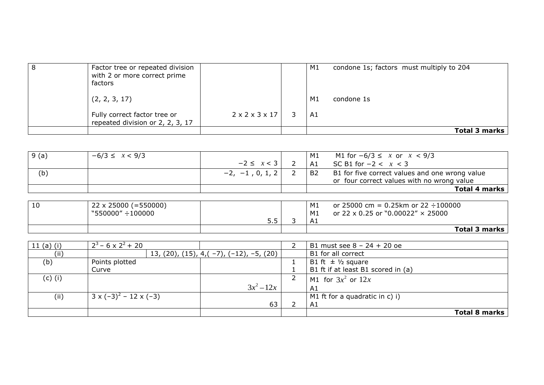| 8 | Factor tree or repeated division<br>with 2 or more correct prime<br>factors |                                 | M1 | condone 1s; factors must multiply to 204 |
|---|-----------------------------------------------------------------------------|---------------------------------|----|------------------------------------------|
|   | (2, 2, 3, 17)                                                               |                                 | M1 | condone 1s                               |
|   | Fully correct factor tree or<br>repeated division or 2, 2, 3, 17            | $2 \times 2 \times 3 \times 17$ | A1 |                                          |
|   |                                                                             |                                 |    | Total 3 marks                            |

| $\vert 9($ a | $-6/3 \leq x < 9/3$ |                   | M1 | M1 for $-6/3 \le x$ or $x < 9/3$               |
|--------------|---------------------|-------------------|----|------------------------------------------------|
|              |                     | $-2 \leq x < 3$   | A1 | SC B1 for $-2 < x < 3$                         |
| (b)          |                     | $-2, -1, 0, 1, 2$ | B2 | B1 for five correct values and one wrong value |
|              |                     |                   |    | or four correct values with no wrong value     |
|              |                     |                   |    | <b>Total 4 marks</b>                           |

| 10 | $22 \times 25000 (= 550000)$<br>$"550000" \div 100000$ |     | M1<br>M1       | or 25000 cm = $0.25$ km or 22 $\div 100000$<br>or 22 x 0.25 or "0.00022" $\times$ 25000 |
|----|--------------------------------------------------------|-----|----------------|-----------------------------------------------------------------------------------------|
|    |                                                        | 5.5 | A <sub>1</sub> |                                                                                         |
|    |                                                        |     |                | <b>Total 3 marks</b>                                                                    |

| 11 $(a)$ (i) | $2^3$ – 6 x 2 <sup>2</sup> + 20    |                                                     | B1 must see $8 - 24 + 20$ oe       |
|--------------|------------------------------------|-----------------------------------------------------|------------------------------------|
| (iii)        |                                    | 13, (20), (15), 4, ( $-7$ ), ( $-12$ ), $-5$ , (20) | B1 for all correct                 |
| (b)          | Points plotted                     |                                                     | B1 ft $\pm$ 1/2 square             |
|              | Curve                              |                                                     | B1 ft if at least B1 scored in (a) |
| (c) (i)      |                                    |                                                     | M1 for $3x^2$ or $12x$             |
|              |                                    | $3x^2 - 12x$                                        | A <sub>1</sub>                     |
| (ii)         | $3 \times (-3)^2 - 12 \times (-3)$ |                                                     | M1 ft for a quadratic in $c$ ) i)  |
|              |                                    | 63                                                  | A1                                 |
|              |                                    |                                                     | Total 8 marks                      |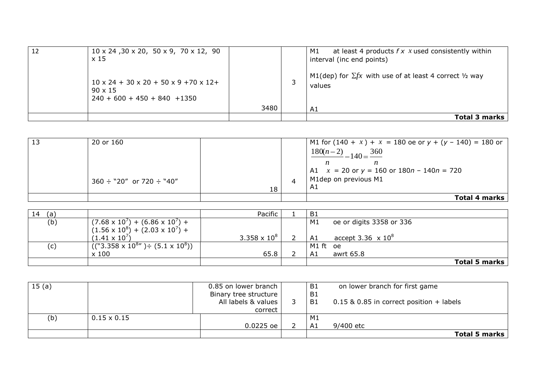| 12 | $10 \times 24$ , $30 \times 20$ , $50 \times 9$ , $70 \times 12$ , $90$<br>x 15                                  |      | at least 4 products $f \times x$ used consistently within<br>M1<br>interval (inc end points) |
|----|------------------------------------------------------------------------------------------------------------------|------|----------------------------------------------------------------------------------------------|
|    | $10 \times 24 + 30 \times 20 + 50 \times 9 + 70 \times 12 +$<br>$90 \times 15$<br>$240 + 600 + 450 + 840 + 1350$ |      | M1(dep) for $\Sigma f x$ with use of at least 4 correct $\frac{1}{2}$ way<br>values          |
|    |                                                                                                                  | 3480 | A1                                                                                           |
|    |                                                                                                                  |      | Total 3 marks                                                                                |

| 13 | 20 or 160                          |    | M1 for $(140 + x) + x = 180$ oe or $y + (y - 140) = 180$ or                                      |
|----|------------------------------------|----|--------------------------------------------------------------------------------------------------|
|    |                                    |    | $\frac{180(n-2)}{2} - 140 = \frac{360}{2}$                                                       |
|    |                                    |    |                                                                                                  |
|    |                                    |    | $\begin{vmatrix} 4.1 & x = 20 & \text{or } y = 160 & \text{or } 180n - 140n = 720 \end{vmatrix}$ |
|    | $360 \div$ "20" or 720 $\div$ "40" |    | M1dep on previous M1                                                                             |
|    |                                    | 18 | A1                                                                                               |
|    |                                    |    | <b>Total 4 marks</b>                                                                             |

| 14<br>(a) |                                                       | Pacific             | - B1     |                                      |                      |
|-----------|-------------------------------------------------------|---------------------|----------|--------------------------------------|----------------------|
| (b)       | $(7.68 \times 10^7) + (6.86 \times 10^7) +$           |                     | M1       | oe or digits 3358 or 336             |                      |
|           | $(1.56 \times 10^8) + (2.03 \times 10^7) +$           |                     |          |                                      |                      |
|           | $(1.41 \times 10^7)$                                  | $3.358 \times 10^8$ | A1       | accept 3.36 $\times$ 10 <sup>8</sup> |                      |
| (c)       | $((``3.358 \times 10^{8}") \div (5.1 \times 10^{8}))$ |                     | M1 ft oe |                                      |                      |
|           | x 100                                                 | 65.8                | A1       | awrt 65.8                            |                      |
|           |                                                       |                     |          |                                      | <b>Total 5 marks</b> |

| 15(a) |                    | 0.85 on lower branch  | <b>B1</b>      | on lower branch for first game             |
|-------|--------------------|-----------------------|----------------|--------------------------------------------|
|       |                    | Binary tree structure | B <sub>1</sub> |                                            |
|       |                    | All labels & values   | <b>B1</b>      | $0.15$ & 0.85 in correct position + labels |
|       |                    | correct               |                |                                            |
| (b)   | $0.15 \times 0.15$ |                       | M1             |                                            |
|       |                    | $0.0225$ oe           | A1             | 9/400 etc                                  |
|       |                    |                       |                | Total 5 marks                              |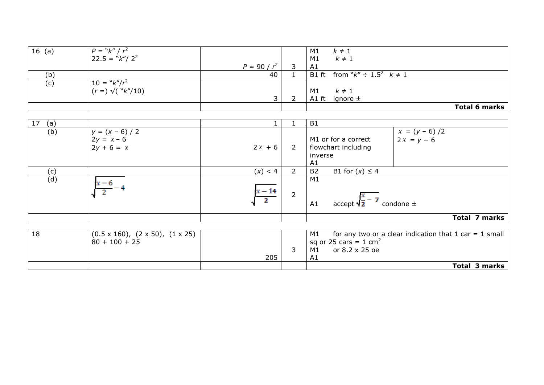| $16$ (a) | $P = "k" / r^2$<br>22.5 = "k"/ 2 <sup>2</sup>      |                | M1<br>$k \neq 1$<br>$k \neq 1$<br>M1     |               |
|----------|----------------------------------------------------|----------------|------------------------------------------|---------------|
|          |                                                    | $P = 90 / r^2$ | A1                                       |               |
| (b)      |                                                    | 40             | B1 ft from " $k'' \div 1.5^2$ $k \neq 1$ |               |
| (c)      | $10 =$ " $k''/r^2$<br>(r =) $\sqrt{(}$ " $k''/10)$ |                |                                          |               |
|          |                                                    |                | M1<br>$k \neq 1$                         |               |
|          |                                                    | $\mathcal{D}$  | A1 ft ignore $\pm$                       |               |
|          |                                                    |                |                                          | Total 6 marks |

| 17<br>(a) |                                                        |                          | B <sub>1</sub>                                                                                 |
|-----------|--------------------------------------------------------|--------------------------|------------------------------------------------------------------------------------------------|
| (b)       | $y = (x - 6) / 2$<br>$2y = x - 6$<br>$2y + 6 = x$      | $2x + 6$                 | $x = (y - 6)/2$<br>$2x = y - 6$<br>M1 or for a correct<br>flowchart including<br>inverse<br>A1 |
| (c)       |                                                        | (x) < 4                  | <b>B2</b><br>B1 for $(x) \leq 4$                                                               |
| (d)       | $x - 6$                                                | $x - 14$<br><sup>2</sup> | M1<br>accept $\sqrt{\frac{x}{2}}$ - 7<br>condone $\pm$<br>A1                                   |
|           |                                                        |                          | Total 7 marks                                                                                  |
|           |                                                        |                          |                                                                                                |
| 18        | $(0.5 \times 160)$ , $(2 \times 50)$ , $(1 \times 25)$ |                          | M1<br>for any two or a clear indication that 1 car $= 1$ small                                 |

| 18 | $(0.5 \times 160)$ , $(2 \times 50)$ , $(1 \times 25)$<br>$80 + 100 + 25$ |     | M1<br>for any two or a clear indication that $1$ car $= 1$ small<br>$\vert$ sq or 25 cars = 1 cm <sup>2</sup> |
|----|---------------------------------------------------------------------------|-----|---------------------------------------------------------------------------------------------------------------|
|    |                                                                           |     | or 8.2 x 25 oe<br>M1                                                                                          |
|    |                                                                           | 205 | - Ai                                                                                                          |
|    |                                                                           |     | <b>Total 3 marks</b>                                                                                          |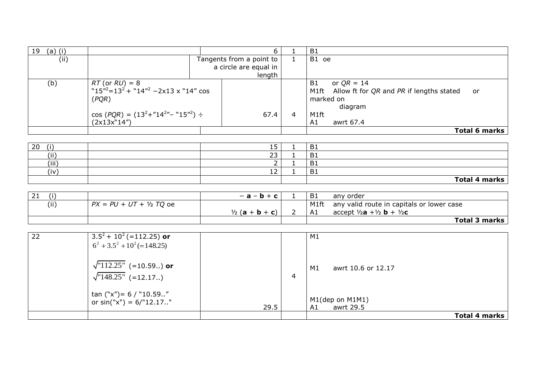| $(a)$ (i)<br>19 |                                                                                                                                                                         |                          |                                 |   | B1                                                                                                                           |
|-----------------|-------------------------------------------------------------------------------------------------------------------------------------------------------------------------|--------------------------|---------------------------------|---|------------------------------------------------------------------------------------------------------------------------------|
| (ii)            |                                                                                                                                                                         | Tangents from a point to |                                 |   | B1 oe                                                                                                                        |
|                 |                                                                                                                                                                         |                          | a circle are equal in<br>length |   |                                                                                                                              |
| (b)             | $RT$ (or $RU$ ) = 8<br>"15" <sup>2</sup> =13 <sup>2</sup> + "14" <sup>2</sup> -2x13 x "14" cos<br>(PQR)<br>$\cos(PQR) = (13^2 + 14^{2} - 15^{2}) \div$<br>(2x13x''14'') |                          | 67.4                            | 4 | or $QR = 14$<br>B1<br>M1ft Allow ft for QR and PR if lengths stated<br>or<br>marked on<br>diagram<br>M1ft<br>awrt 67.4<br>A1 |
|                 |                                                                                                                                                                         |                          |                                 |   | Total 6 marks                                                                                                                |

| 20<br>$\cdots$ | -<br>IJ                              | <b>B1</b>      |
|----------------|--------------------------------------|----------------|
| (i)            | つつ<br>رے                             | B <sub>1</sub> |
| (iii)          | $\overline{\phantom{a}}$<br><u>_</u> | <b>B1</b>      |
| 'iv<br>. .     | $\sim$<br>┸╯                         | B1             |
|                |                                      | Total 4 marks  |

| (i)  |                            | $-$ a $-$ b $+$ c l       | - B1 | any order                                                  |
|------|----------------------------|---------------------------|------|------------------------------------------------------------|
| (ii) | $PX = PU + UT + V_2 TO$ oe |                           | M1ft | any valid route in capitals or lower case                  |
|      |                            | $\frac{1}{2}$ (a + b + c) | A1   | accept $\frac{1}{2}$ a + $\frac{1}{2}$ b + $\frac{1}{2}$ c |
|      |                            |                           |      | <b>Total 3 marks</b>                                       |

| 22 | $3.5^2 + 10^2$ (=112.25) or     |      |   | M1                       |               |
|----|---------------------------------|------|---|--------------------------|---------------|
|    | $6^2 + 3.5^2 + 10^2 (= 148.25)$ |      |   |                          |               |
|    |                                 |      |   |                          |               |
|    | $\sqrt{112.25}$ " (=10.59) or   |      |   |                          |               |
|    |                                 |      |   | M1<br>awrt 10.6 or 12.17 |               |
|    | $\sqrt{148.25}$ (=12.17.)       |      | 4 |                          |               |
|    |                                 |      |   |                          |               |
|    | tan ("x")= $6 /$ "10.59"        |      |   |                          |               |
|    | or $sin("x") = 6/"12.17."$      |      |   | M1(dep on M1M1)          |               |
|    |                                 | 29.5 |   | awrt 29.5<br>A1          |               |
|    |                                 |      |   |                          | Total 4 marks |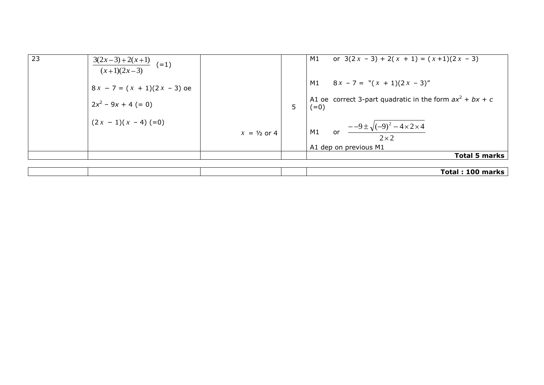| 23 | $\frac{3(2x-3)+2(x+1)}{2}$ (=1)<br>$(x+1)(2x-3)$ |                        |   | or $3(2x - 3) + 2(x + 1) = (x + 1)(2x - 3)$<br>M1                            |
|----|--------------------------------------------------|------------------------|---|------------------------------------------------------------------------------|
|    | $8x - 7 = (x + 1)(2x - 3)$ oe                    |                        |   | M1 $8x - 7 = " (x + 1)(2x - 3)"$                                             |
|    | $2x^2 - 9x + 4 (= 0)$                            |                        | 5 | A1 oe correct 3-part quadratic in the form $ax^2 + bx + c$<br>$(=0)$         |
|    | $(2x - 1)(x - 4)$ (=0)                           | $x = \frac{1}{2}$ or 4 |   | M1 or $\frac{-9 \pm \sqrt{(-9)^2 - 4 \times 2 \times 4}}{2}$<br>$2 \times 2$ |
|    |                                                  |                        |   | A1 dep on previous M1                                                        |
|    |                                                  |                        |   | <b>Total 5 marks</b>                                                         |

|  |  | 100 marks<br>Total: |
|--|--|---------------------|
|  |  |                     |